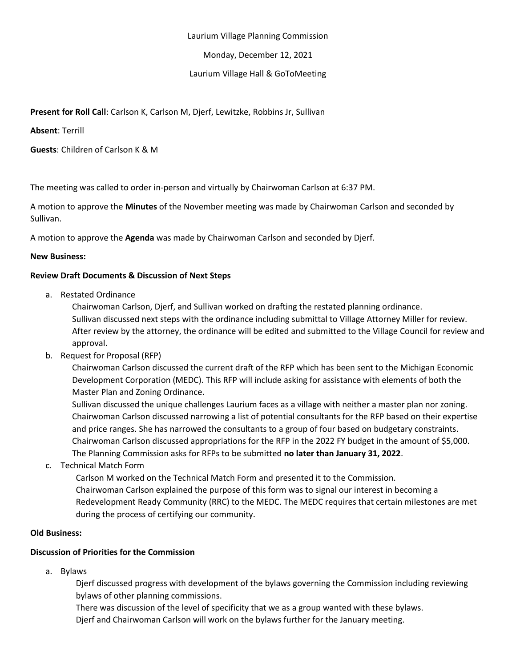#### Laurium Village Planning Commission

Monday, December 12, 2021

## Laurium Village Hall & GoToMeeting

# **Present for Roll Call**: Carlson K, Carlson M, Djerf, Lewitzke, Robbins Jr, Sullivan

**Absent**: Terrill

**Guests**: Children of Carlson K & M

The meeting was called to order in-person and virtually by Chairwoman Carlson at 6:37 PM.

A motion to approve the **Minutes** of the November meeting was made by Chairwoman Carlson and seconded by Sullivan.

A motion to approve the **Agenda** was made by Chairwoman Carlson and seconded by Djerf.

#### **New Business:**

#### **Review Draft Documents & Discussion of Next Steps**

a. Restated Ordinance

Chairwoman Carlson, Djerf, and Sullivan worked on drafting the restated planning ordinance. Sullivan discussed next steps with the ordinance including submittal to Village Attorney Miller for review. After review by the attorney, the ordinance will be edited and submitted to the Village Council for review and approval.

b. Request for Proposal (RFP)

Chairwoman Carlson discussed the current draft of the RFP which has been sent to the Michigan Economic Development Corporation (MEDC). This RFP will include asking for assistance with elements of both the Master Plan and Zoning Ordinance.

Sullivan discussed the unique challenges Laurium faces as a village with neither a master plan nor zoning. Chairwoman Carlson discussed narrowing a list of potential consultants for the RFP based on their expertise and price ranges. She has narrowed the consultants to a group of four based on budgetary constraints. Chairwoman Carlson discussed appropriations for the RFP in the 2022 FY budget in the amount of \$5,000. The Planning Commission asks for RFPs to be submitted **no later than January 31, 2022**.

c. Technical Match Form

Carlson M worked on the Technical Match Form and presented it to the Commission. Chairwoman Carlson explained the purpose of this form was to signal our interest in becoming a Redevelopment Ready Community (RRC) to the MEDC. The MEDC requires that certain milestones are met during the process of certifying our community.

#### **Old Business:**

# **Discussion of Priorities for the Commission**

a. Bylaws

Djerf discussed progress with development of the bylaws governing the Commission including reviewing bylaws of other planning commissions.

There was discussion of the level of specificity that we as a group wanted with these bylaws. Djerf and Chairwoman Carlson will work on the bylaws further for the January meeting.